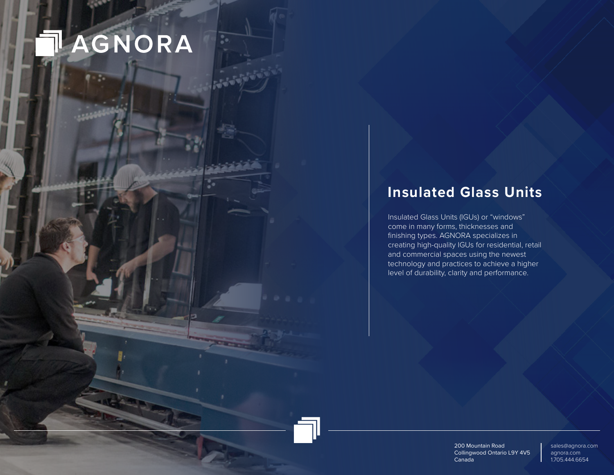

÷.

## **Insulated Glass Units**

Insulated Glass Units (IGUs) or "windows" come in many forms, thicknesses and finishing types. AGNORA specializes in creating high-quality IGUs for residential, retail and commercial spaces using the newest technology and practices to achieve a higher level of durability, clarity and performance.

> 200 Mountain Road Collingwood Ontario L9Y 4V5 Canada

sales@agnora.com agnora.com 1.705.444.6654